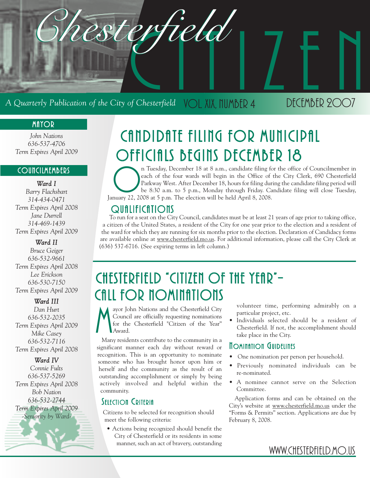

### **MAYOR**

*John Nations 636-537-4706 Term Expires April 2009*

### **COUNCILMEMBERS**

*Ward I*

*Barry Flachsbart 314-434-0471 Term Expires April 2008 Jane Durrell 314-469-1439 Term Expires April 2009*

#### *Ward II*

*Bruce Geiger 636-532-9661 Term Expires April 2008 Lee Erickson 636-530-7150 Term Expires April 2009*

#### *Ward III*

*Dan Hurt 636-532-2035 Term Expires April 2009 Mike Casey 636-532-7116 Term Expires April 2008*

#### *Ward IV*

*Connie Fults 636-537-5269 Term Expires April 2008 Bob Nation 636-532-2744 Term Expires April 2009 -Seniority by Ward-*

# CANDIDATE FILING FOR MUNICIPAL OFFICIALS BEGINS DECEMBER 18

n Tuesday, December 18 at 8 a.m., candidate filing for the office of Councilmember in each of the four wards will begin in the Office of the City Clerk, 690 Chesterfield be 8:30 a.m. to 5 p.m., Monday through Friday. Candi each of the four wards will begin in the Office of the City Clerk, 690 Chesterfield Parkway West. After December 18, hours for filing during the candidate filing period will be 8:30 a.m. to 5 p.m., Monday through Friday. Candidate filing will close Tuesday, January 22, 2008 at 5 p.m. The election will be held April 8, 2008.

### **QUALIFICATIONS**

To run for a seat on the City Council, candidates must be at least 21 years of age prior to taking office, a citizen of the United States, a resident of the City for one year prior to the election and a resident of the ward for which they are running for six months prior to the election. Declaration of Candidacy forms are available online at www.chesterfield.mo.us. For additional information, please call the City Clerk at (636) 537-6716. (See expiring terms in left column.)

## CHESTERFIELD "CITIZEN OF THE YEAR"-CALL FOR NOMINATIONS

M ayor John Nations and the Chesterfield City Council are officially requesting nominations for the Chesterfield "Citizen of the Year" Award.

Many residents contribute to the community in a significant manner each day without reward or recognition. This is an opportunity to nominate someone who has brought honor upon him or herself and the community as the result of an outstanding accomplishment or simply by being actively involved and helpful within the community.

### SELECTION CRITERIA

Citizens to be selected for recognition should meet the following criteria:

• Actions being recognized should benefit the City of Chesterfield or its residents in some manner, such an act of bravery, outstanding volunteer time, performing admirably on a particular project, etc.

• Individuals selected should be a resident of Chesterfield. If not, the accomplishment should take place in the City.

### **NOMINATION GUIDELINES**

- One nomination per person per household.
- Previously nominated individuals can be re-nominated.
- A nominee cannot serve on the Selection Committee.

Application forms and can be obtained on the City's website at www.chesterfield.mo.us under the "Forms & Permits" section. Applications are due by February 8, 2008.

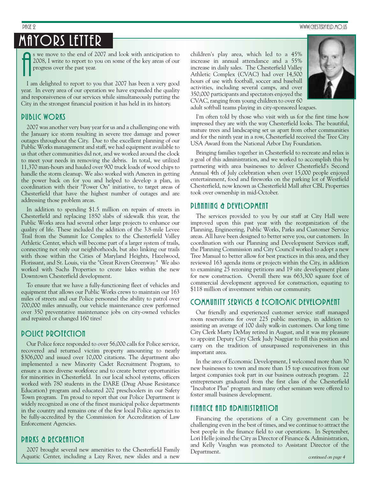## MAYORS LETTER

A

s we move to the end of 2007 and look with anticipation to 2008, I write to report to you on some of the key areas of our progress over the past year.

I am delighted to report to you that 2007 has been a very good year. In every area of our operation we have expanded the quality and responsiveness of our services while simultaneously putting the City in the strongest financial position it has held in its history.

### PUBLIC WORKS

2007 was another very busy year for us and a challenging one with the January ice storm resulting in severe tree damage and power outages throughout the City. Due to the excellent planning of our Public Works management and staff, we had equipment available to us that other communities did not, and we worked around the clock to meet your needs in removing the debris. In total, we utilized 11,370 man-hours and hauled over 900 truck loads of wood chips to handle the storm cleanup. We also worked with Ameren in getting the power back on for you and helped to develop a plan, in coordination with their "Power On" initiative, to target areas of Chesterfield that have the highest number of outages and are addressing those problem areas.

In addition to spending \$1.5 million on repairs of streets in Chesterfield and replacing 1850 slabs of sidewalk this year, the Public Works area had several other large projects to enhance our quality of life. These included the addition of the 3.8-mile Levee Trail from the Summit Ice Complex to the Chesterfield Valley Athletic Center, which will become part of a larger system of trails, connecting not only our neighborhoods, but also linking our trails with those within the Cities of Maryland Heights, Hazelwood, Florissant, and St. Louis, via the "Great Rivers Greenway." We also worked with Sachs Properties to create lakes within the new Downtown Chesterfield development.

To ensure that we have a fully-functioning fleet of vehicles and equipment that allows our Public Works crews to maintain our 163 miles of streets and our Police personnel the ability to patrol over 700,000 miles annually, our vehicle maintenance crew performed over 350 preventative maintenance jobs on city-owned vehicles and repaired or changed 160 tires!

#### POLICE PROTECTION

Our Police force responded to over 56,000 calls for Police service, recovered and returned victim property amounting to nearly \$306,000 and issued over 10,000 citations. The department also implemented a new Minority Cadet Recruitment Program, to ensure a more diverse workforce and to create better opportunities for minorities in Chesterfield. In our local school systems, officers worked with 780 students in the DARE (Drug Abuse Resistance Education) program and educated 202 preschoolers in our Safety Town program. I'm proud to report that our Police Department is widely recognized as one of the finest municipal police departments in the country and remains one of the few local Police agencies to be fully-accredited by the Commission for Accreditation of Law Enforcement Agencies.

### PARKS & RECREATION

2007 brought several new amenities to the Chesterfield Family Aquatic Center, including a Lazy River, new slides and a new children's play area, which led to a 45% increase in annual attendance and a 55% increase in daily sales. The Chesterfield Valley Athletic Complex (CVAC) had over 14,500 hours of use with football, soccer and baseball activities, including several camps, and over 350,000 participants and spectators enjoyed the CVAC, ranging from young children to over 60 adult softball teams playing in city-sponsored leagues.



I'm often told by those who visit with us for the first time how impressed they are with the way Chesterfield looks. The beautiful, mature trees and landscaping set us apart from other communities and for the ninth year in a row, Chesterfield received the Tree City USA Award from the National Arbor Day Foundation.

Bringing families together in Chesterfield to recreate and relax is a goal of this administration, and we worked to accomplish this by partnering with area businesses to deliver Chesterfield's Second Annual 4th of July celebration when over 15,000 people enjoyed entertainment, food and fireworks on the parking lot of Westfield Chesterfield, now known as Chesterfield Mall after CBL Properties took over ownership in mid-October.

#### PLANNING & DEVELOPMENT

The services provided to you by our staff at City Hall were improved upon this past year with the reorganization of the Planning, Engineering, Public Works, Parks and Customer Service areas. All have been designed to better serve you, our customers. In coordination with our Planning and Development Services staff, the Planning Commission and City Council worked to adopt a new Tree Manual to better allow for best practices in this area, and they reviewed 163 agenda items or projects within the City, in addition to examining 25 rezoning petitions and 19 site development plans for new construction. Overall there was 663,300 square foot of commercial development approved for construction, equating to \$118 million of investment within our community.

### COMMUNITY SERVICES & ECONOMIC DEVELOPMENT

Our friendly and experienced customer service staff managed room reservations for over 225 public meetings, in addition to assisting an average of 100 daily walk-in customers. Our long time City Clerk Marty DeMay retired in August, and it was my pleasure to appoint Deputy City Clerk Judy Naggiar to fill this position and carry on the tradition of unsurpassed responsiveness in this important area.

In the area of Economic Development, I welcomed more than 30 new businesses to town and more than 15 top executives from our largest companies took part in our business outreach program. 22 entrepreneurs graduated from the first class of the Chesterfield "Incubator Plus" program and many other seminars were offered to foster small business development.

#### FINANCE AND ADMINISTRATION

Financing the operations of a City government can be challenging even in the best of times, and we continue to attract the best people in the finance field to our operations. In September, Lori Helle joined the City as Director of Finance & Administration, and Kelly Vaughn was promoted to Assistant Director of the Department.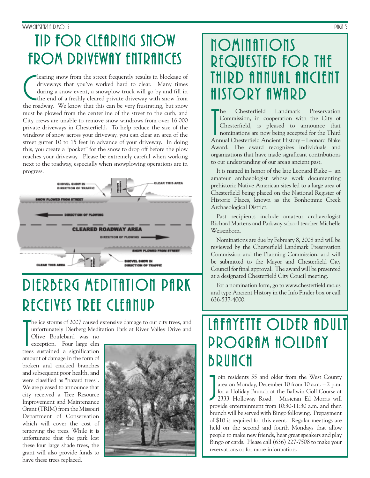#### www.chesterfield.mo.us Page 3 Page 3 Page 3 Page 3 Page 3 Page 3 Page 3 Page 3 Page 3 Page 3 Page 3 Page 3 Page 3 Page 3 Page 3 Page 3 Page 3 Page 3 Page 3 Page 3 Page 3 Page 3 Page 3 Page 3 Page 3 Page 3 Page 3 Page 3 Pag

## TIP FOR CLEARING SNOW FROM DRIVEWAY ENTRANCES

learing snow from the street frequently results in blockage of driveways that you've worked hard to clear. Many times during a snow event, a snowplow truck will go by and fill in the end of a freshly cleared private drivew learing snow from the street frequently results in blockage of driveways that you've worked hard to clear. Many times during a snow event, a snowplow truck will go by and fill in the end of a freshly cleared private driveway with snow from must be plowed from the centerline of the street to the curb, and City crews are unable to remove snow windrows from over 16,000 private driveways in Chesterfield. To help reduce the size of the windrow of snow across your driveway, you can clear an area of the street gutter 10 to 15 feet in advance of your driveway. In doing this, you create a "pocket" for the snow to drop off before the plow reaches your driveway. Please be extremely careful when working next to the roadway, especially when snowplowing operations are in progress.



# DIERBERG MEDITATION PARK RECEIVES TREE CLEANUP

he ice storms of 2007 caused extensive damage to our city trees, and unfortunately Dierberg Meditation Park at River Valley Drive and

The ice storms of 2007 caused<br>
unfortunately Dierberg Med<br>
Olive Boulebard was no<br>
exception. Four large elm<br>
trees sustained a signification Olive Boulebard was no exception. Four large elm amount of damage in the form of broken and cracked branches and subsequent poor health, and were classified as "hazard trees". We are pleased to announce that city received a Tree Resource Improvement and Maintenance Grant (TRIM) from the Missouri Department of Conservation which will cover the cost of removing the trees. While it is unfortunate that the park lost these four large shade trees, the grant will also provide funds to have these trees replaced.



## **NOMINATIONS** REQUESTED FOR THE THIRD ANNUAL ANCIENT HISTORY AWARD

The Chesterfield Landmark Preservation<br>
Commission, in cooperation with the City of<br>
Chesterfield, is pleased to announce that<br>
nominations are now being accepted for the Third<br>
Annual Chesterfield Ancient History – Leonar he Chesterfield Landmark Preservation Commission, in cooperation with the City of Chesterfield, is pleased to announce that nominations are now being accepted for the Third Award. The award recognizes individuals and organizations that have made significant contributions to our understanding of our area's ancient past.

It is named in honor of the late Leonard Blake – an amateur archaeologist whose work documenting prehistoric Native American sites led to a large area of Chesterfield being placed on the National Register of Historic Places, known as the Bonhomme Creek Archaeological District.

Past recipients include amateur archaeologist Richard Martens and Parkway school teacher Michelle Weisenborn.

Nominations are due by February 8, 2008 and will be reviewed by the Chesterfield Landmark Preservation Commission and the Planning Commission, and will be submitted to the Mayor and Chesterfield City Council for final approval. The award will be presented at a designated Chesterfield City Coucil meeting.

For a nomination form, go to www.chesterfield.mo.us and type Ancient History in the Info Finder box or call 636-537-4000.

## LAFAYETTE OLDER ADULT PROGRAM HOLIDAY **BRUNCH**

oin residents 55 and older from the West County<br>area on Monday, December 10 from 10 a.m. – 2 p.m.<br>for a Holiday Brunch at the Ballwin Golf Course at<br>2333 Holloway Road. Musician Ed Morris will<br>provide entertainment from 10 oin residents 55 and older from the West County area on Monday, December 10 from 10 a.m. – 2 p.m. for a Holiday Brunch at the Ballwin Golf Course at 2333 Holloway Road. Musician Ed Morris will brunch will be served with Bingo following. Prepayment of \$10 is required for this event. Regular meetings are held on the second and fourth Mondays that allow people to make new friends, hear great speakers and play Bingo or cards. Please call (636) 227-7508 to make your reservations or for more information.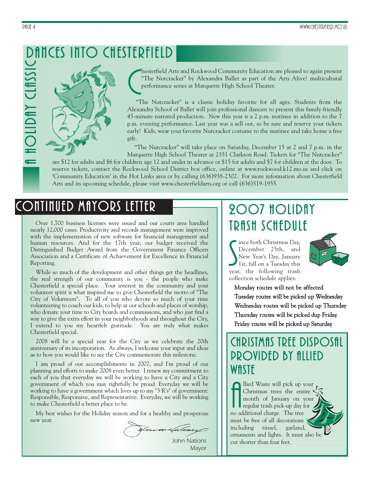### <u>ں</u><br>حا DANCES INTO CHESTERFIELD

C<sub>T</sub> hesterfield Arts and Rockwood Community Education are pleased to again present "The Nutcracker" by Alexandra Ballet as part of the Arts Alive! multicultural performance series at Marquette High School Theater.

"The Nutcracker" is a classic holiday favorite for all ages. Students from the Alexandra School of Ballet will join professional dancers to present this family-friendly 45-minute narrated production. New this year is a 2 p.m. matinee in addition to the 7 p.m. evening performance. Last year was a sell out, so be sure and reserve your tickets early! Kids, wear your favorite Nutcracker costume to the matinee and take home a free gift.

"The Nutcracker" will take place on Saturday, December 15 at 2 and 7 p.m. in the Marquette High School Theater at 2351 Clarkson Road. Tickets for "The Nutcracker"

are \$12 for adults and \$6 for children age 12 and under in advance or \$15 for adults and \$7 for children at the door. To reserve tickets, contact the Rockwood School District box office, online at www.rockwood.k12.mo.us and click on 'Community Education' in the Hot Links area or by calling (636)938-2302. For more information about Chesterfield Arts and its upcoming schedule, please visit www.chesterfieldarts.org or call (636)519-1955.

### CONTINUED MAYORS LETTER

Over 1,700 business licenses were issued and our courts area handled nearly 12,000 cases. Productivity and records management were improved with the implementation of new software for financial management and human resources. And for the 17th year, our budget received the Distinguished Budget Award from the Government Finance Officers Association and a Certificate of Achievement for Excellence in Financial Reporting.

While so much of the development and other things get the headlines, the real strength of our community is you - the people who make Chesterfield a special place. Your interest in the community and your volunteer spirit is what inspired me to give Chesterfield the motto of "The City of Volunteers". To all of you who devote so much of your time volunteering to coach our kids, to help at our schools and places of worship, who donate your time to City boards and commissions, and who just find a way to give the extra effort in your neighborhoods and throughout the City, I extend to you my heartfelt gratitude. You are truly what makes Chesterfield special.

2008 will be a special year for the City as we celebrate the 20th anniversary of its incorporation. As always, I welcome your input and ideas as to how you would like to see the City commemorate this milestone.

I am proud of our accomplishments in 2007, and I'm proud of our planning and efforts to make 2008 even better. I renew my commitment to each of you that everyday we will be working to have a City and a City government of which you may rightfully be proud. Everyday we will be working to have a government which lives up to my "3 R's" of government: Responsible, Responsive, and Representative. Everyday, we will be working to make Chesterfield a better place to be.

My best wishes for the Holiday season and for a healthy and prosperous new year.

Jan m Halen *John Nations*

*Mayor*

## 2007 HOLIDAY TRASH SCHEDULE

Since both Christmas Day,<br>December 25th, and<br>New Year's Day, January<br>1st, fall on a Tuesday this<br>year, the following trash ince both Christmas Day, December 25th, and New Year's Day, January 1st, fall on a Tuesday this collection schedule applies:



Monday routes will not be affected Tuesday routes will be picked up Wednesday Wednesday routes will be picked up Thursday Thursday routes will be picked dup Friday Friday routes will be picked up Saturday

### CHRISTMAS TREE DISPOSAL PROVIDED BY ALLIED **WASTE**

Held Waste will pick up y<br>Christmas trees the ent<br>month of January on<br>regular trash pick-up day t<br>no additional charge. The tree llied Waste will pick up your Christmas trees the entire month of January on your regular trash pick-up day for must be free of all decorations including tinsel, garland, ornaments and lights. It must also be cut shorter than four feet.

 $\leftarrow$ 

OLID

A

Y CLA

 $\blacktriangleright$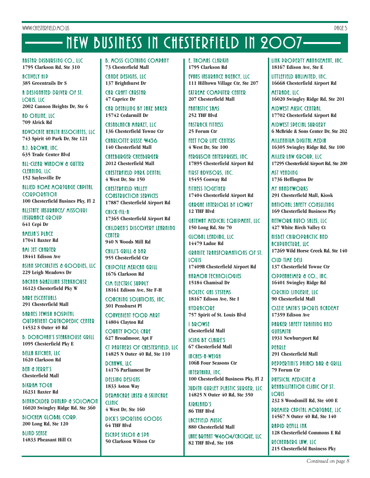# NEW BUSINESS IN CHESTERFIELD IN 2007

ABSTAR DISBURSING CO. , LLC **1795 Clarkson Rd, Ste 310**

**ACTIVELY HIP 385 Greentrails Dr S**

A DESIGNATED DRIVER OF ST. LOUIS, LLC **2002 Cannon Heights Dr, Ste 6**

AD ONLINE, LLC **709 Alrick Rd**

ADVOCATE HEALTH ASSOCIATES, LLC **743 Spirit 40 Park Dr, Ste 121**

A.J. BROWN, INC. **635 Trade Center Blvd**

ALL-CLEAR WINDOW & GUTTER CLEANING, LLC **152 Saylesville Dr**

ALLIED HOME MORTGAGE CAPITAL **CORPORATION 100 Chesterfield Busines Pky, Fl 2**

ALLSTATE INSURANCE/ MISSOURI **INSURANCE GROUP 641 Cepi Dr**

**AMELIA'S PLACE 17041 Baxter Rd**

**AMI JET CHARTER 18441 Edison Ave**

ASIAN SPECIALTIES & GOODIES, LLC **229 Leigh Meadows Dr**

BACANA BRAZILIAN STEAKHOUSE **16123 Chesterfield Pky W**

*BARE ESCENTUALS* **291 Chesterfield Mall**

BARNES JEWISH HOSPITAL OUTPATIENT ORTHOPEDIC CENTER **14532 S Outer 40 Rd**

**B. DONOVAN'S STEAKHOUSE GRILL 1095 Chesterfield Pky E**

BELLA KITCHEN, LLC **1620 Clarkson Rd**

BEN & JERRY'S **Chesterfield Mall**

**BIKRAM YOGA 16231 Baxter Rd**

BINKHOLDER DUNLAP & SOLOMON **16020 Swingley Ridge Rd, Ste 360**

BIOCHEM GLOBAL CORP. **200 Long Rd, Ste 120**

BLIND SENSE **14833 Pheasant Hill Ct** B. MOSS CLOTHING COMPANY **73 Chesterfield Mall**

CANDE DESIGNS, LLC **137 Brighthurst Dr**

CAR CRAFT CARSTAR **47 Caprice Dr**

CAR DETAILING BY JAKE BAKER **15742 Cedarmill Dr**

CASABLANCA MARKET, LLC **136 Chesterfield Towne Ctr**

CHARLOTTE RUSSE **W436 140 Chesterfield Mall**

CHEEBURGER CHEEBURGER **2012 Chesterfield Mall**

CHESTERFIELD PARK DENTAL **4 West Dr, Ste 150**

CHESTERFIELD VALLEY CONSTRUCTION SERVICES **17887 Chesterfield Airport Rd**

CHICK-FIL-A **17365 Chesterfield Airport Rd** CHILDREN'S DISCOVERY LEARNING **CENTER 940 N Woods Mill Rd**

CHILI'S GRILL & BAR **955 Chesterfield Ctr**

CHIPOTLE MEXICAN GRILL **1676 Clarkson Rd**

CIM ELECTRIC SUPPLY **18161 Edison Ave, Ste F-H**

COACHING SOLUTIONS, INC. **301 Penshurst Pl**

CONVENIENT FOOD MART **14804 Clayton Rd**

COUNTY POOL CARE **627 Broadmoor, Apt F**

CT PARTNERS OF CHESTERFIELD, LLC **14825 N Outer 40 Rd, Ste 110**

DCHAWK, LLC **14176 Parliament Dr**

DELSING DESIGNS **1833 Aston Way**

DERMACARE LASER & SKINCARE CLINIC **4 West Dr, Ste 160**

DICK'S SPORTING GOODS **64 THF Blvd**

ESCAPE SALON & SPA **50 Clarkson Wilson Ctr** **f. THOMAS CLARKIN 1795 Clarkson Rd**

EVANS INSURANCE AGENCY, LLC **111 Hilltown Village Ctr, Ste 207**

EXTREME COMPUTER CENTER **207 Chesterfield Mall**

**FANTASTIC SAMS 252 THF Blvd**

**FASTRACK FITNESS 25 Forum Ctr**

FEET FOR LIFE CENTERS **4 West Dr, Ste 100**

FERGUSON ENTERPRISES, INC. **17895 Chesterfield Airport Rd**

FIRST ADVISORS, INC. **15455 Conway Rd**

FITNESS TOGETHER **17404 Chesterfield Airport Rd**

**GARGAE INTERIORS BY LOWRY 12 THF Blvd**

GATEWAY MEDICAL EQUIPMENT, LLC **150 Long Rd, Ste 70**

GLOBAL LENDING, LLC **14479 Ladue Rd**

GRANITE TRANSFORMATIONS OF ST. LOUIS **17409B Chesterfield Airport Rd**

**HARMON TECHNOLOGIES 15184 Chamisal Dr**

HOLTEC GAS SYSTEMS **18167 Edison Ave, Ste I**

**HYDRACORE 757 Spirit of St. Louis Blvd**

I BROWSE **Chesterfield Mall**

ICING BY CLAIRE'S **67 Chesterfield Mall**

INCHES-A-WEIGH **106B Four Seasons Ctr**

INTERTHINX, INC. **100 Chesterfield Business Pky, Fl 2**

JUDITH GURLEY PLASTIC SURGER, LLC **14825 N Outer 40 Rd, Ste 350**

KIRKLAND'S **86 THF Blvd**

LACEFIELD MUSIC **880 Chesterfield Mall**

LANE BRYANT W4604/CACIQUE, LLC **82 THF Blvd, Ste 108**

LINK PROPERTY MANAGEMENT, INC. **18167 Edison Ave, Ste E**

LITTLEFIELD UNLIMITED, INC. **16668 Chesterfield Airport Rd**

METRADE, LLC **16020 Swingley Ridge Rd, Ste 201**

MIDWEST MUSIC CENTRAL **17702 Chesterfield Airport Rd**

MIDWEST SPECIAL SURGERY **6 McBride & Sons Center Dr, Ste 202**

MILLENNIUM DIGITAL MEDIA **16305 Swingley Ridge Rd, Ste 100**

MILLER LAW GROUP, LLC **17295 Chesterfield Airport Rd, Ste 200**

**MST VENDING 1736 Heffington Dr**

**MY HANDYWORKS 291 Chesterfield Mall, Kiosk**

NATIONAL SAFETY CONSULTING **169 Chesterfield Business Pky**

NETWORK AUTO SALES, LLC **427 White Birch Valley Ct**

NISBET CHIROPRACTIC AND ACUPUNCTURE, LLC **17269 Wild Horse Creek Rd, Ste 140**

OLD TIME DELI **137 Chesterfield Towne Ctr**

OPPENHEIMER & CO., INC. **16401 Swingley Ridge Rd**

ORCHID LINGERIE, LLC **90 Chesterfield Mall**

OZZIE SMITH'S SPORTS ACADEMY **17359 Edison Ave**

PARKER SAFETY TRAINING AND **GUNSMITH 1931 Newburyport Rd**

PEARLE **291 Chesterfield Mall**

PEPPERTINI'S PAINO BAR & GRILL **79 Forum Ctr**

**PHYSICAL MEDICINE &** REHABILITATION CLINIC OF ST. LOUIS

**232 S Woodsmill Rd, Ste 400 E** PREMIER CAPITAL MORTGAGE, LLC

**14567 N Outer 40 Rd, Ste 140** RAPID REFILL INK **128 Chesterfield Commons E Rd**

RECHENBERG LAW, LLC **215 Chesterfield Business Pky**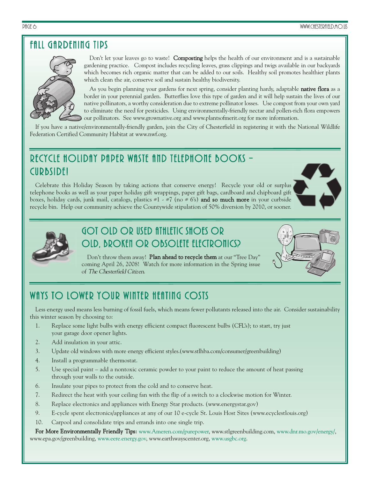### FALL GARDENING TIPS



Don't let your leaves go to waste! Composting helps the health of our environment and is a sustainable gardening practice. Compost includes recycling leaves, grass clippings and twigs available in our backyards which becomes rich organic matter that can be added to our soils. Healthy soil promotes healthier plants which clean the air, conserve soil and sustain healthy biodiversity.

As you begin planning your gardens for next spring, consider planting hardy, adaptable **native flora** as a border in your perennial garden. Butterflies love this type of garden and it will help sustain the lives of our native pollinators, a worthy consideration due to extreme pollinator losses. Use compost from your own yard to eliminate the need for pesticides. Using environmentally-friendly nectar and pollen-rich flora empowers our pollinators. See www.grownative.org and www.plantsofmerit.org for more information.

If you have a native/environmentally-friendly garden, join the City of Chesterfield in registering it with the National Wildlife Federation Certified Community Habitat at www.nwf.org.

### RECYCLE HOLIDAY PAPER WASTE AND TELEPHONE BOOKS – CURBSIDE!

Celebrate this Holiday Season by taking actions that conserve energy! Recycle your old or surplus telephone books as well as your paper holiday gift wrappings, paper gift bags, cardboard and chipboard gift boxes, holiday cards, junk mail, catalogs, plastics  $\#1 \times \#7$  (no  $\#6's$ ) and so much more in your curbside recycle bin. Help our community achieve the Countywide stipulation of 50% diversion by 2010, or sooner.





### GOT OLD OR USED ATHLETIC SHOES OR OLD, BROKEN OR OBSOLETE ELECTRONICS?



Don't throw them away! Plan ahead to recycle them at our "Tree Day" coming April 26, 2008! Watch for more information in the Spring issue of The Chesterfield Citizen.

### WAYS TO LOWER YOUR WINTER HEATING COSTS

Less energy used means less burning of fossil fuels, which means fewer pollutants released into the air. Consider sustainability this winter season by choosing to:

- 1. Replace some light bulbs with energy efficient compact fluorescent bulbs (CFL's); to start, try just your garage door opener lights.
- 2. Add insulation in your attic.
- 3. Update old windows with more energy efficient styles.(www.stlhba.com/consumer/greenbuilding)
- 4. Install a programmable thermostat.
- 5. Use special paint add a nontoxic ceramic powder to your paint to reduce the amount of heat passing through your walls to the outside.
- 6. Insulate your pipes to protect from the cold and to conserve heat.
- 7. Redirect the heat with your ceiling fan with the flip of a switch to a clockwise motion for Winter.
- 8. Replace electronics and appliances with Energy Star products. (www.energystar.gov)
- 9. E-cycle spent electronics/appliances at any of our 10 e-cycle St. Louis Host Sites (www.ecyclestlouis.org)
- 10. Carpool and consolidate trips and errands into one single trip.

For More Environmentally Friendly Tips: www.Ameren.com/purepower, www.stlgreenbuilding.com, www.dnr.mo.gov/energy/, www.epa.gov/greenbuilding, www.eere.energy.gov, www.earthwayscenter.org, www.usgbc.org.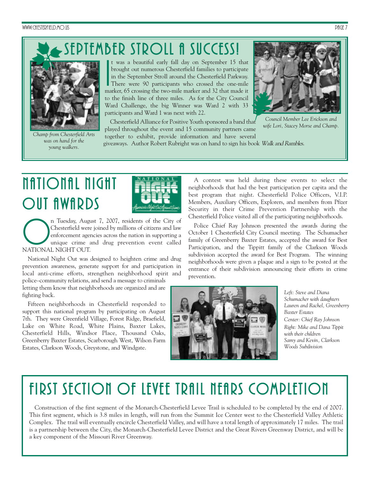WWW.CHESTERFIELD.MO.US PAGE 7

## SEPTEMBER STROLL fi SUCCESS!



*Champ from Chesterfield Arts was on hand for the young walkers.*

**I**<br>Ima t was a beautiful early fall day on September 15 that brought out numerous Chesterfield families to participate in the September Stroll around the Chesterfield Parkway. There were 90 participants who crossed the one-mile marker, 65 crossing the two-mile marker and 32 that made it to the finish line of three miles. As for the City Council Ward Challenge, the big Winner was Ward 2 with 33 participants and Ward 1 was next with 22.



*Council Member Lee Erickson and wife Lori, Stacey Morse and Champ.* 

Chesterfield Alliance for Positive Youth sponsored a band that played throughout the event and 15 community partners came together to exhibit, provide information and have several

giveaways. Author Robert Rubright was on hand to sign his book Walk and Rambles.

# NATIONAL NIGHT OUT AWARDS



n Tuesday, August 7, 2007, residents of the City of Chesterfield were joined by millions of citizens and law enforcement agencies across the nation in supporting a unique crime and drug prevention event called NATIONAL NIG Chesterfield were joined by millions of citizens and law enforcement agencies across the nation in supporting a unique crime and drug prevention event called NATIONAL NIGHT OUT.

National Night Out was designed to heighten crime and drug prevention awareness, generate support for and participation in local anti-crime efforts, strengthen neighborhood spirit and police–community relations, and send a message to criminals

letting them know that neighborhoods are organized and are fighting back.

Fifteen neighborhoods in Chesterfield responded to support this national program by participating on August 7th. They were Greenfield Village, Forest Ridge, Braefield, Lake on White Road, White Plains, Baxter Lakes, Chesterfield Hills, Windsor Place, Thousand Oaks, Greenberry Baxter Estates, Scarborough West, Wilson Farm Estates, Clarkson Woods, Greystone, and Windgate.

A contest was held during these events to select the neighborhoods that had the best participation per capita and the best program that night. Chesterfield Police Officers, V.I.P. Members, Auxiliary Officers, Explorers, and members from Pfizer Security in their Crime Prevention Partnership with the Chesterfield Police visited all of the participating neighborhoods.

Police Chief Ray Johnson presented the awards during the October 1 Chesterfield City Council meeting. The Schumacher family of Greenberry Baxter Estates, accepted the award for Best Participation, and the Tippitt family of the Clarkson Woods subdivision accepted the award for Best Program. The winning neighborhoods were given a plaque and a sign to be posted at the entrance of their subdivision announcing their efforts in crime prevention.



*Left: Steve and Diana Schumacher with daughters Lauren and Rachel, Greenberry Baxter Estates Center: Chief Ray Johnson Right: Mike and Dana Tippit with their children Samy and Kevin, Clarkson Woods Subdivision*

# FIRST SECTION OF LEVEE TRAIL NEARS COMPLETION

Construction of the first segment of the Monarch-Chesterfield Levee Trail is scheduled to be completed by the end of 2007. This first segment, which is 3.8 miles in length, will run from the Summit Ice Center west to the Chesterfield Valley Athletic Complex. The trail will eventually encircle Chesterfield Valley, and will have a total length of approximately 17 miles. The trail is a partnership between the City, the Monarch-Chesterfield Levee District and the Great Rivers Greenway District, and will be a key component of the Missouri River Greenway.